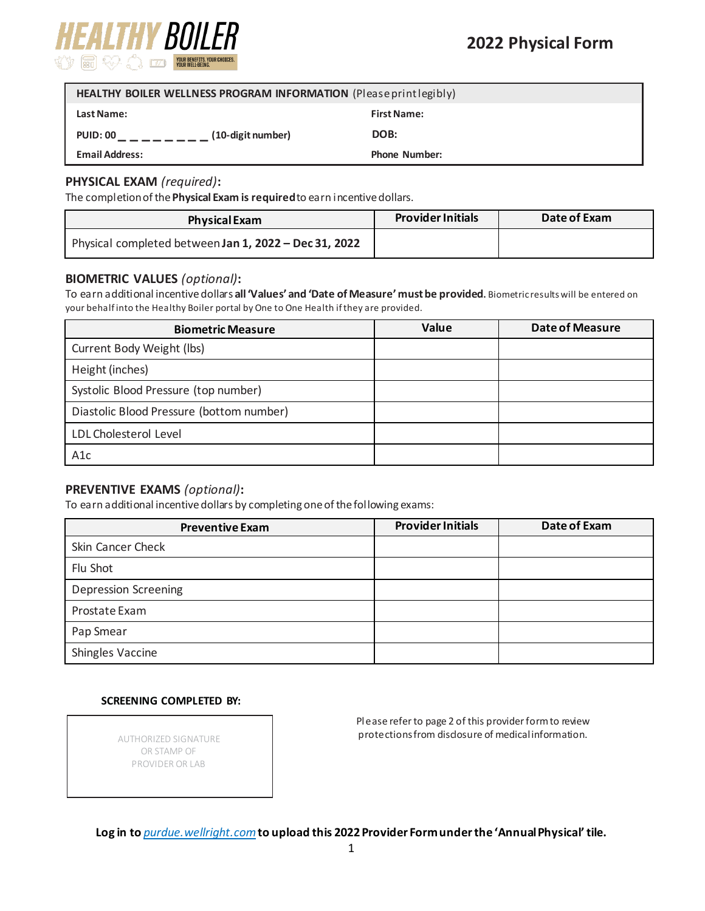

| HEALTHY BOILER WELLNESS PROGRAM INFORMATION (Please print legibly) |                      |  |  |
|--------------------------------------------------------------------|----------------------|--|--|
| <b>Last Name:</b>                                                  | <b>First Name:</b>   |  |  |
| (10-digit number)<br><b>PUID: 00</b>                               | DOB:                 |  |  |
| <b>Email Address:</b>                                              | <b>Phone Number:</b> |  |  |

## **PHYSICAL EXAM** *(required)***:**

The completion of the **Physical Exam is required**to earn incentive dollars.

| <b>Physical Exam</b>                                  | <b>Provider Initials</b> | Date of Exam |
|-------------------------------------------------------|--------------------------|--------------|
| Physical completed between Jan 1, 2022 - Dec 31, 2022 |                          |              |

# **BIOMETRIC SCREENING DATA BIOMETRIC VALUES** *(optional)***:**

To earn additional incentive dollars **all 'Values' and 'Date of Measure'must be provided.** Biometric results will be entered on your behalf into the Healthy Boiler portal by One to One Health if they are provided.

| <b>Biometric Measure</b>                 | <b>Value</b> | <b>Date of Measure</b> |
|------------------------------------------|--------------|------------------------|
| Current Body Weight (lbs)                |              |                        |
| Height (inches)                          |              |                        |
| Systolic Blood Pressure (top number)     |              |                        |
| Diastolic Blood Pressure (bottom number) |              |                        |
| LDL Cholesterol Level                    |              |                        |
| A <sub>1</sub> c                         |              |                        |

## **BIOMETRIC SCREENING DATA PREVENTIVE EXAMS** *(optional)***:**

To earn additional incentive dollars by completing one of the following exams:

| <b>Preventive Exam</b>      | <b>Provider Initials</b> | Date of Exam |
|-----------------------------|--------------------------|--------------|
| Skin Cancer Check           |                          |              |
| Flu Shot                    |                          |              |
| <b>Depression Screening</b> |                          |              |
| Prostate Exam               |                          |              |
| Pap Smear                   |                          |              |
| <b>Shingles Vaccine</b>     |                          |              |

#### **SCREENING COMPLETED BY:**

OR STAMP OF PROVIDER OR LAB

Please refer to page 2 of this provider form to review AUTHORIZED SIGNATURE **Example 20 set of medical information.** 

**Log in to** *purdue.wellright.com***to upload this 2022 Provider Formunder the 'Annual Physical' tile.**